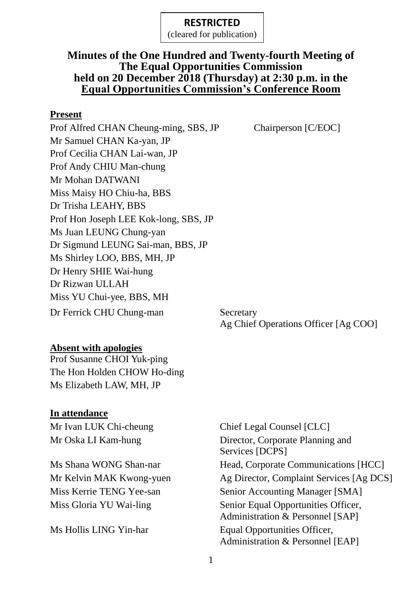#### **RESTRICTED**

(cleared for publication)

#### **Minutes of the One Hundred and Twenty-fourth Meeting of The Equal Opportunities Commission held on 20 December 2018 (Thursday) at 2:30 p.m. in the Equal Opportunities Commission's Conference Room**

#### **Present**

Prof Alfred CHAN Cheung-ming, SBS, JP Chairperson [C/EOC] Mr Samuel CHAN Ka-yan, JP Prof Cecilia CHAN Lai-wan, JP Prof Andy CHIU Man-chung Mr Mohan DATWANI Miss Maisy HO Chiu-ha, BBS Dr Trisha LEAHY, BBS Prof Hon Joseph LEE Kok-long, SBS, JP Ms Juan LEUNG Chung-yan Dr Sigmund LEUNG Sai-man, BBS, JP Ms Shirley LOO, BBS, MH, JP Dr Henry SHIE Wai-hung Dr Rizwan ULLAH Miss YU Chui-yee, BBS, MH Dr Ferrick CHU Chung-man Secretary

Ag Chief Operations Officer [Ag COO]

#### **Absent with apologies**

Prof Susanne CHOI Yuk-ping The Hon Holden CHOW Ho-ding Ms Elizabeth LAW, MH, JP

#### **In attendance**

Mr Ivan LUK Chi-cheung Chief Legal Counsel [CLC] Mr Oska LI Kam-hung Director, Corporate Planning and Services [DCPS] Ms Shana WONG Shan-nar Head, Corporate Communications [HCC] Mr Kelvin MAK Kwong-yuen Ag Director, Complaint Services [Ag DCS] Miss Kerrie TENG Yee-san Senior Accounting Manager [SMA] Miss Gloria YU Wai-ling Senior Equal Opportunities Officer, Administration & Personnel [SAP] Ms Hollis LING Yin-har Equal Opportunities Officer, Administration & Personnel [EAP]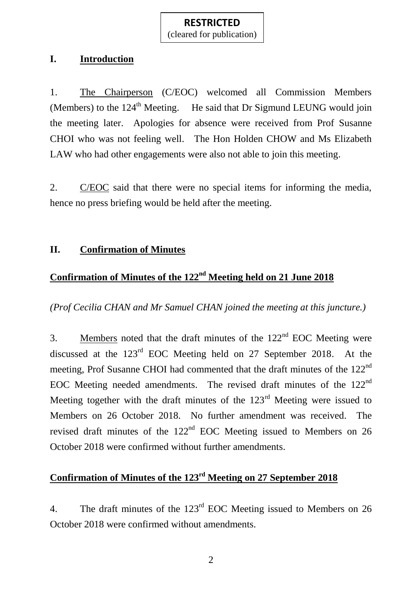(cleared for publication)

#### **I. Introduction**

1. The Chairperson (C/EOC) welcomed all Commission Members (Members) to the  $124<sup>th</sup>$  Meeting. He said that Dr Sigmund LEUNG would join the meeting later. Apologies for absence were received from Prof Susanne CHOI who was not feeling well. The Hon Holden CHOW and Ms Elizabeth LAW who had other engagements were also not able to join this meeting.

2. C/EOC said that there were no special items for informing the media, hence no press briefing would be held after the meeting.

#### **II. Confirmation of Minutes**

## **Confirmation of Minutes of the 122<sup>nd</sup> Meeting held on 21 June 2018**

*(Prof Cecilia CHAN and Mr Samuel CHAN joined the meeting at this juncture.)*

3. Members noted that the draft minutes of the  $122<sup>nd</sup>$  EOC Meeting were discussed at the 123rd EOC Meeting held on 27 September 2018. At the meeting, Prof Susanne CHOI had commented that the draft minutes of the 122<sup>nd</sup> EOC Meeting needed amendments. The revised draft minutes of the 122<sup>nd</sup> Meeting together with the draft minutes of the  $123<sup>rd</sup>$  Meeting were issued to Members on 26 October 2018. No further amendment was received. The revised draft minutes of the 122<sup>nd</sup> EOC Meeting issued to Members on 26 October 2018 were confirmed without further amendments.

# **Confirmation of Minutes of the 123rd Meeting on 27 September 2018**

4. The draft minutes of the 123<sup>rd</sup> EOC Meeting issued to Members on 26 October 2018 were confirmed without amendments.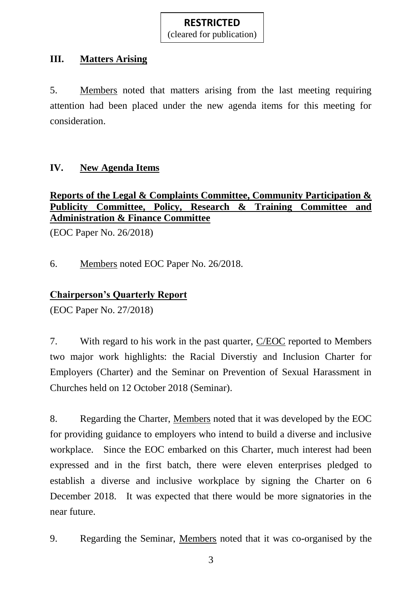(cleared for publication)

### **III. Matters Arising**

5. Members noted that matters arising from the last meeting requiring attention had been placed under the new agenda items for this meeting for consideration.

## **IV. New Agenda Items**

### **Reports of the Legal & Complaints Committee, Community Participation & Publicity Committee, Policy, Research & Training Committee and Administration & Finance Committee**

(EOC Paper No. 26/2018)

6. Members noted EOC Paper No. 26/2018.

# **Chairperson's Quarterly Report**

(EOC Paper No. 27/2018)

7. With regard to his work in the past quarter, C/EOC reported to Members two major work highlights: the Racial Diverstiy and Inclusion Charter for Employers (Charter) and the Seminar on Prevention of Sexual Harassment in Churches held on 12 October 2018 (Seminar).

8. Regarding the Charter, Members noted that it was developed by the EOC for providing guidance to employers who intend to build a diverse and inclusive workplace. Since the EOC embarked on this Charter, much interest had been expressed and in the first batch, there were eleven enterprises pledged to establish a diverse and inclusive workplace by signing the Charter on 6 December 2018. It was expected that there would be more signatories in the near future.

9. Regarding the Seminar, Members noted that it was co-organised by the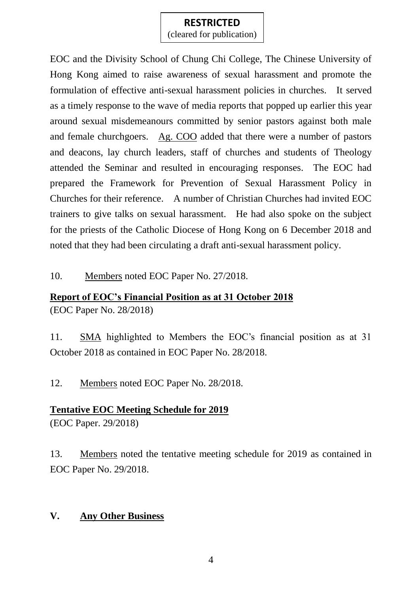### **RESTRICTED**

(cleared for publication)

EOC and the Divisity School of Chung Chi College, The Chinese University of Hong Kong aimed to raise awareness of sexual harassment and promote the formulation of effective anti-sexual harassment policies in churches. It served as a timely response to the wave of media reports that popped up earlier this year around sexual misdemeanours committed by senior pastors against both male and female churchgoers. Ag. COO added that there were a number of pastors and deacons, lay church leaders, staff of churches and students of Theology attended the Seminar and resulted in encouraging responses. The EOC had prepared the Framework for Prevention of Sexual Harassment Policy in Churches for their reference. A number of Christian Churches had invited EOC trainers to give talks on sexual harassment. He had also spoke on the subject for the priests of the Catholic Diocese of Hong Kong on 6 December 2018 and noted that they had been circulating a draft anti-sexual harassment policy.

10. Members noted EOC Paper No. 27/2018.

# **Report of EOC's Financial Position as at 31 October 2018** (EOC Paper No. 28/2018)

11. SMA highlighted to Members the EOC's financial position as at 31 October 2018 as contained in EOC Paper No. 28/2018.

12. Members noted EOC Paper No. 28/2018.

# **Tentative EOC Meeting Schedule for 2019**

(EOC Paper. 29/2018)

13. Members noted the tentative meeting schedule for 2019 as contained in EOC Paper No. 29/2018.

# **V. Any Other Business**